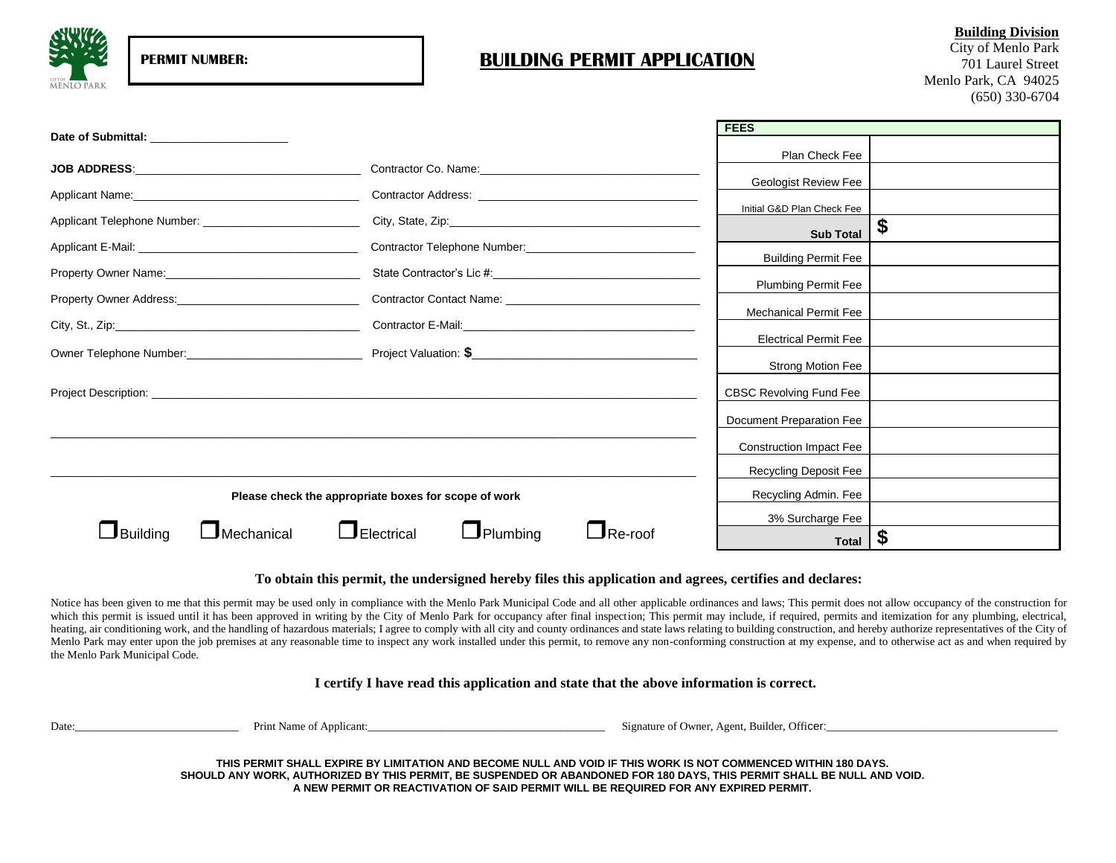

# **PERMIT NUMBER: BUILDING PERMIT APPLICATION**

**Building Division** City of Menlo Park 701 Laurel Street Menlo Park, CA 94025 (650) 330-6704

|                                                            |                                                                                                               | <b>FEES</b>                    |    |
|------------------------------------------------------------|---------------------------------------------------------------------------------------------------------------|--------------------------------|----|
| Date of Submittal: Date of Submittal:                      |                                                                                                               | Plan Check Fee                 |    |
|                                                            |                                                                                                               |                                |    |
|                                                            |                                                                                                               | <b>Geologist Review Fee</b>    |    |
|                                                            |                                                                                                               | Initial G&D Plan Check Fee     |    |
| Applicant Telephone Number: ______________________________ |                                                                                                               | <b>Sub Total</b>               | \$ |
|                                                            |                                                                                                               | <b>Building Permit Fee</b>     |    |
|                                                            |                                                                                                               |                                |    |
|                                                            | Contractor Contact Name: 2008 2012 2022 2023 2024 2022 2022 2023 2024 2022 2023 2024 2022 2023 2024 2022 2023 | <b>Plumbing Permit Fee</b>     |    |
|                                                            |                                                                                                               | Mechanical Permit Fee          |    |
|                                                            |                                                                                                               | <b>Electrical Permit Fee</b>   |    |
|                                                            |                                                                                                               |                                |    |
|                                                            |                                                                                                               | Strong Motion Fee              |    |
|                                                            |                                                                                                               | CBSC Revolving Fund Fee        |    |
|                                                            |                                                                                                               | Document Preparation Fee       |    |
|                                                            |                                                                                                               | <b>Construction Impact Fee</b> |    |
|                                                            |                                                                                                               | Recycling Deposit Fee          |    |
| Please check the appropriate boxes for scope of work       | Recycling Admin. Fee                                                                                          |                                |    |
|                                                            | 3% Surcharge Fee                                                                                              |                                |    |
| $\Box$ Building<br>$J$ Mechanical                          | $\Box$ Electrical<br>$\Box$ Plumbing<br>Re-roof                                                               | <b>Total</b>                   |    |

### **To obtain this permit, the undersigned hereby files this application and agrees, certifies and declares:**

Notice has been given to me that this permit may be used only in compliance with the Menlo Park Municipal Code and all other applicable ordinances and laws; This permit does not allow occupancy of the construction for which this permit is issued until it has been approved in writing by the City of Menlo Park for occupancy after final inspection; This permit may include, if required, permits and itemization for any plumbing, electrical, heating, air conditioning work, and the handling of hazardous materials; I agree to comply with all city and county ordinances and state laws relating to building construction, and hereby authorize representatives of the C Menlo Park may enter upon the job premises at any reasonable time to inspect any work installed under this permit, to remove any non-conforming construction at my expense, and to otherwise act as and when required by the Menlo Park Municipal Code.

**I certify I have read this application and state that the above information is correct.**

Date:\_\_\_\_\_\_\_\_\_\_\_\_\_\_\_\_\_\_\_\_\_\_\_\_\_\_\_\_\_ Print Name of Applicant:\_\_\_\_\_\_\_\_\_\_\_\_\_\_\_\_\_\_\_\_\_\_\_\_\_\_\_\_\_\_\_\_\_\_\_\_\_\_\_\_\_\_ Signature of Owner, Agent, Builder, Officer:\_\_\_\_\_\_\_\_\_\_\_\_\_\_\_\_\_\_\_\_\_\_\_\_\_\_\_\_\_\_\_\_\_\_\_\_\_\_\_\_\_

**THIS PERMIT SHALL EXPIRE BY LIMITATION AND BECOME NULL AND VOID IF THIS WORK IS NOT COMMENCED WITHIN 180 DAYS. SHOULD ANY WORK, AUTHORIZED BY THIS PERMIT, BE SUSPENDED OR ABANDONED FOR 180 DAYS, THIS PERMIT SHALL BE NULL AND VOID. A NEW PERMIT OR REACTIVATION OF SAID PERMIT WILL BE REQUIRED FOR ANY EXPIRED PERMIT.**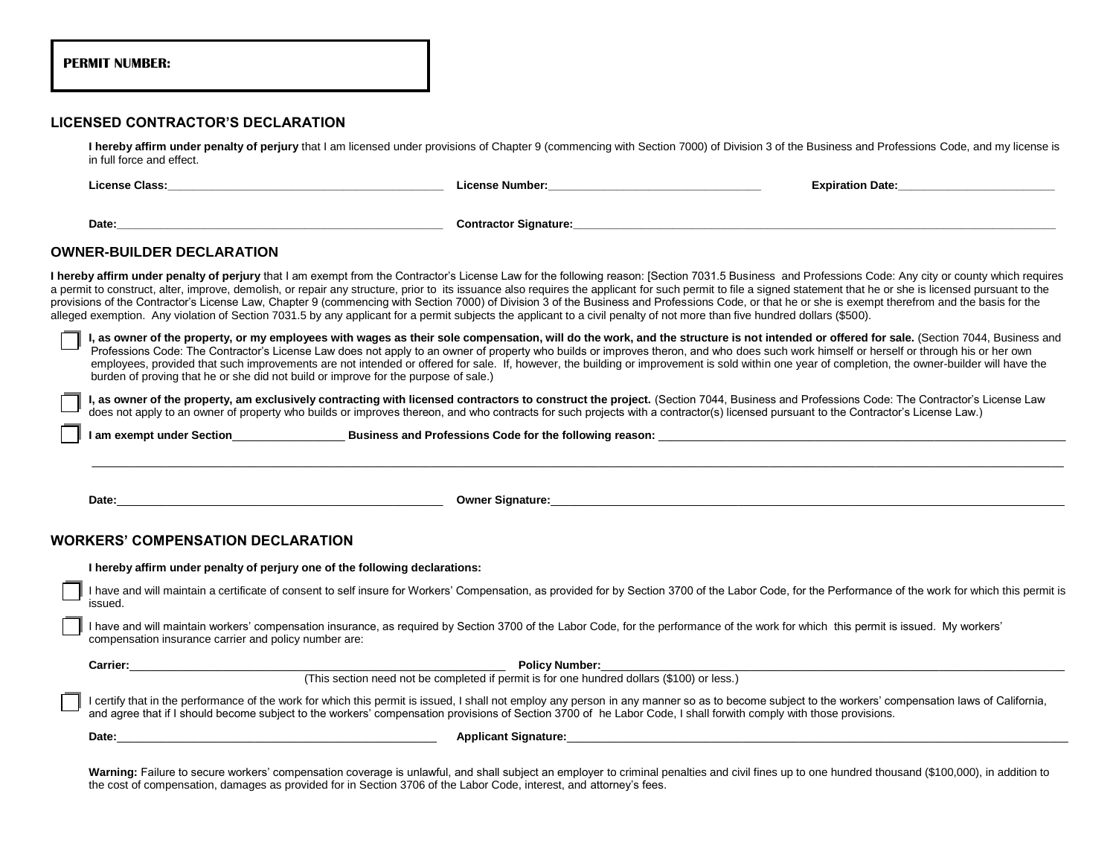|  | <b>PERMIT NUMBER:</b> |
|--|-----------------------|
|--|-----------------------|

## **LICENSED CONTRACTOR'S DECLARATION**

I hereby affirm under penalty of perjury that I am licensed under provisions of Chapter 9 (commencing with Section 7000) of Division 3 of the Business and Professions Code, and my license is in full force and effect.

| License Class: Electric Contract Contract Contract Contract Contract Contract Contract Contract Contract Contract Contract Contract Contract Contract Contract Contract Contract Contract Contract Contract Contract Contract                                                                                                                                                                                                                                                                                                                                                                          |  | <b>Expiration Date: Expiration Date:</b>                                                                                                                                                                                                                                                                                                                                                     |  |  |  |
|--------------------------------------------------------------------------------------------------------------------------------------------------------------------------------------------------------------------------------------------------------------------------------------------------------------------------------------------------------------------------------------------------------------------------------------------------------------------------------------------------------------------------------------------------------------------------------------------------------|--|----------------------------------------------------------------------------------------------------------------------------------------------------------------------------------------------------------------------------------------------------------------------------------------------------------------------------------------------------------------------------------------------|--|--|--|
| Date: the contract of the contract of the contract of the contract of the contract of the contract of the contract of the contract of the contract of the contract of the contract of the contract of the contract of the cont                                                                                                                                                                                                                                                                                                                                                                         |  |                                                                                                                                                                                                                                                                                                                                                                                              |  |  |  |
| <b>OWNER-BUILDER DECLARATION</b>                                                                                                                                                                                                                                                                                                                                                                                                                                                                                                                                                                       |  |                                                                                                                                                                                                                                                                                                                                                                                              |  |  |  |
| a permit to construct, alter, improve, demolish, or repair any structure, prior to its issuance also requires the applicant for such permit to file a signed statement that he or she is licensed pursuant to the<br>provisions of the Contractor's License Law, Chapter 9 (commencing with Section 7000) of Division 3 of the Business and Professions Code, or that he or she is exempt therefrom and the basis for the<br>alleged exemption. Any violation of Section 7031.5 by any applicant for a permit subjects the applicant to a civil penalty of not more than five hundred dollars (\$500). |  | I hereby affirm under penalty of perjury that I am exempt from the Contractor's License Law for the following reason: [Section 7031.5 Business and Professions Code: Any city or county which requires                                                                                                                                                                                       |  |  |  |
| Professions Code: The Contractor's License Law does not apply to an owner of property who builds or improves theron, and who does such work himself or herself or through his or her own<br>burden of proving that he or she did not build or improve for the purpose of sale.)                                                                                                                                                                                                                                                                                                                        |  | I, as owner of the property, or my employees with wages as their sole compensation, will do the work, and the structure is not intended or offered for sale. (Section 7044, Business and<br>employees, provided that such improvements are not intended or offered for sale. If, however, the building or improvement is sold within one year of completion, the owner-builder will have the |  |  |  |
| I, as owner of the property, am exclusively contracting with licensed contractors to construct the project. (Section 7044, Business and Professions Code: The Contractor's License Law<br>does not apply to an owner of property who builds or improves thereon, and who contracts for such projects with a contractor(s) licensed pursuant to the Contractor's License Law.)                                                                                                                                                                                                                          |  |                                                                                                                                                                                                                                                                                                                                                                                              |  |  |  |
|                                                                                                                                                                                                                                                                                                                                                                                                                                                                                                                                                                                                        |  |                                                                                                                                                                                                                                                                                                                                                                                              |  |  |  |
|                                                                                                                                                                                                                                                                                                                                                                                                                                                                                                                                                                                                        |  |                                                                                                                                                                                                                                                                                                                                                                                              |  |  |  |
| Date: Note: The Contract of the Contract of the Contract of the Contract of the Contract of the Contract of the Contract of the Contract of the Contract of the Contract of the Contract of the Contract of the Contract of th                                                                                                                                                                                                                                                                                                                                                                         |  | Owner Signature: New York State State State State State State State State State State State State State State State State State State State State State State State State State State State State State State State State Stat                                                                                                                                                               |  |  |  |
| <b>WORKERS' COMPENSATION DECLARATION</b>                                                                                                                                                                                                                                                                                                                                                                                                                                                                                                                                                               |  |                                                                                                                                                                                                                                                                                                                                                                                              |  |  |  |
| I hereby affirm under penalty of perjury one of the following declarations:<br>issued.                                                                                                                                                                                                                                                                                                                                                                                                                                                                                                                 |  | I have and will maintain a certificate of consent to self insure for Workers' Compensation, as provided for by Section 3700 of the Labor Code, for the Performance of the work for which this permit is                                                                                                                                                                                      |  |  |  |
| I have and will maintain workers' compensation insurance, as required by Section 3700 of the Labor Code, for the performance of the work for which this permit is issued. My workers'<br>compensation insurance carrier and policy number are:                                                                                                                                                                                                                                                                                                                                                         |  |                                                                                                                                                                                                                                                                                                                                                                                              |  |  |  |
|                                                                                                                                                                                                                                                                                                                                                                                                                                                                                                                                                                                                        |  |                                                                                                                                                                                                                                                                                                                                                                                              |  |  |  |
| Carrier: Carrier: Carrier: Carrier: Carrier: Carrier: Carrier: Carrier: Carrier: Carrier: Carrier: Carrier: Carrier: Carrier: Carrier: Carrier: Carrier: Carrier: Carrier: Carrier: Carrier: Carrier: Carrier: Carrier: Carrie                                                                                                                                                                                                                                                                                                                                                                         |  |                                                                                                                                                                                                                                                                                                                                                                                              |  |  |  |
| I certify that in the performance of the work for which this permit is issued, I shall not employ any person in any manner so as to become subject to the workers' compensation laws of California,<br>and agree that if I should become subject to the workers' compensation provisions of Section 3700 of he Labor Code, I shall forwith comply with those provisions.                                                                                                                                                                                                                               |  |                                                                                                                                                                                                                                                                                                                                                                                              |  |  |  |

Warning: Failure to secure workers' compensation coverage is unlawful, and shall subject an employer to criminal penalties and civil fines up to one hundred thousand (\$100,000), in addition to the cost of compensation, damages as provided for in Section 3706 of the Labor Code, interest, and attorney's fees.